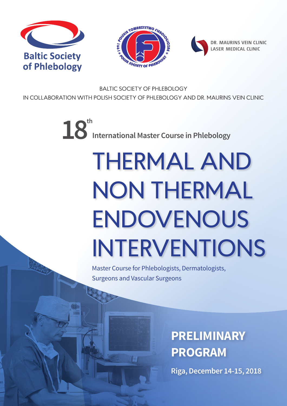





DR. MAURINS VEIN CLINIC LASER MEDICAL CLINIC

BALTIC SOCIETY OF PHLEBOLOGY IN COLLABORATION WITH POLISH SOCIETY OF PHLEBOLOGY AND DR. MAURINS VEIN CLINIC

 $18<sup>th</sup>$  International Master Course in Phlebology

# THERMAL AND NON THERMAL ENDOVENOUS INTERVENTIONS

Master Course for Phlebologists, Dermatologists, Surgeons and Vascular Surgeons

**ES** 

## **PRELIMINARY PROGRAM**

**Riga, December 14-15, 2018**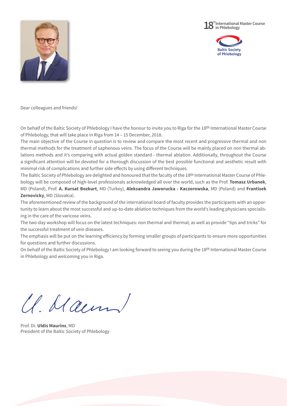





Dear colleagues and friends!

On behalf of the Baltic Society of Phlebology I have the honour to invite you to Riga for the 18th International Master Course of Phlebology, that will take place in Riga from 14 – 15 December, 2018.

The main objective of the Course in question is to review and compare the most recent and progressive thermal and non thermal methods for the treatment of saphenous veins. The focus of the Course will be mainly placed on non thermal ablations methods and it's comparing with actual golden standard - thermal ablation. Additionally, throughout the Course a significant attention will be devoted for a thorough discussion of the best possible functional and aesthetic result with minimal risk of complications and further side effects by using different techniques.

The Baltic Society of Phlebology are delighted and honoured that the faculty of the 18th International Master Course of Phlebology will be composed of high-level professionals acknowledged all over the world, such as the Prof. **Tomasz Urbanek**, MD (Poland), Prof. **A. Kursat Bozkurt**, MD (Turkey), **Aleksandra Jaworucka - Kaczorowska**, MD (Poland) and **Frantisek Zernovicky**, MD (Slovakia).

The aforementioned review of the background of the international board of faculty provides the participants with an opportunity to learn about the most successful and up-to-date ablation techniques from the world's leading physicians specialising in the care of the varicose veins.

The two-day workshop will focus on the latest techniques: non thermal and thermal, as well as provide "tips and tricks" for the successful treatment of vein diseases.

The emphasis will be put on the learning efficiency by forming smaller groups of participants to ensure more opportunities for questions and further discussions.

On behalf of the Baltic Society of Phlebology I am looking forward to seeing you during the 18th International Master Course in Phlebology and welcoming you in Riga.

U. Maun

Prof. Dr. **Uldis Maurins**, MD President of the Baltic Society of Phlebology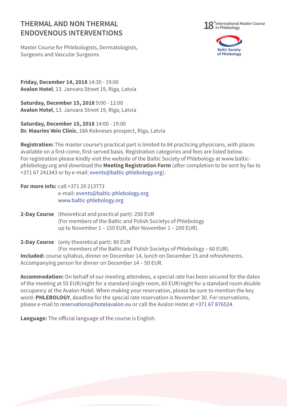#### **THERMAL AND NON THERMAL ENDOVENOUS INTERVENTIONS**



Master Course for Phlebologists, Dermatologists, Surgeons and Vascular Surgeons



**Friday, December 14, 2018** 14:30 - 19:00 **Avalon Hotel**, 13. Janvara Street 19, Riga, Latvia

**Saturday, December 15, 2018** 9:00 - 12:00 **Avalon Hotel**, 13. Janvara Street 19, Riga, Latvia

**Saturday, December 15, 2018** 14:00 - 19:00 **Dr. Maurins Vein Clinic**, 18A Kokneses prospect, Riga, Latvia

**Registration:** The master course's practical part is limited to 84 practicing physicians, with places available on a first-come, first-served basis. Registration categories and fees are listed below. For registration please kindly visit the website of the Baltic Society of Phlebology at www.balticphlebology.org and download the **Meeting Registration Form** (after completion to be sent by fax to +371 67 241343 or by e-mail: events@baltic-phlebology.org).

**For more info:** call +371 29 213773 e-mail: events@baltic-phlebology.org www.baltic-phlebology.org

**2-Day Course** (theoretical and practical part): 250 EUR (For members of the Baltic and Polish Societys of Phlebology up to November 1 – 150 EUR, after November 1 – 200 EUR).

**2-Day Course** (only theoretical part): 80 EUR

(For members of the Baltic and Polish Societys of Phlebology – 60 EUR). **Included:** course syllabus, dinner on December 14, lunch on December 15 and refreshments. Accompanying person for dinner on December 14 – 50 EUR.

**Accommodation:** On behalf of our meeting attendees, a special rate has been secured for the dates of the meeting at 55 EUR/night for a standard single room, 60 EUR/night for a standard room double occupancy at the Avalon Hotel. When making your reservation, please be sure to mention the key word: **PHLEBOLOGY**, deadline for the special rate reservation is November 30. For reservations, please e-mail to reservations@hotelavalon.eu or call the Avalon Hotel at +371 67 876524.

**Language:** The official language of the course is English.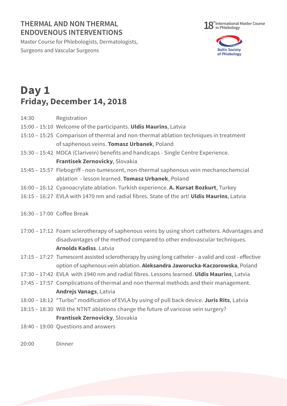### **THERMAL AND NON THERMAL ENDOVENOUS INTERVENTIONS**

Master Course for Phlebologists, Dermatologists, Surgeons and Vascular Surgeons





## **Day 1 Friday, December 14, 2018**

- 14:30 Registration
- 15:00 15:10 Welcome of the participants. **Uldis Maurins**, Latvia
- 15:10 15:25 Comparison of thermal and non-thermal ablation techniques in treatment of saphenous veins. **Tomasz Urbanek**, Poland
- 15:30 15:42 MOCA (Clarivein) benefits and handicaps Single Centre Experience. **Frantisek Zernovicky**, Slovakia
- 15:45 15:57 Flebogriff non-tumescent, non-thermal saphenous vein mechanochemcial ablation - lesson learned. **Tomasz Urbanek**, Poland
- 16:00 16:12 Cyanoacrylate ablation. Turkish experience. **A. Kursat Bozkurt**, Turkey
- 16:15 16:27 EVLA with 1470 nm and radial fibres. State of the art! **Uldis Maurins**, Latvia
- 16:30 17:00 Coffee Break
- 17:00 17:12 Foam sclerotherapy of saphenous veins by using short catheters. Advantages and disadvantages of the method compared to other endovascular techniques. **Arnolds Kadiss**. Latvia
- 17:15 17:27 Tumescent assisted sclerotherapy by using long catheter a valid and cost effective option of saphenous vein ablation. **Aleksandra Jaworucka-Kaczorowska**, Poland
- 17:30 17:42 EVLA with 1940 nm and radial fibres. Lessons learned. **Uldis Maurins**, Latvia
- 17:45 17:57 Complications of thermal and non thermal methods and their management. **Andrejs Vanags**, Latvia
- 18:00 18:12 "Turbo" modification of EVLA by using of pull back device. **Juris Rits**, Latvia
- 18:15 18:30 Will the NTNT ablations change the future of varicose vein surgery? **Frantisek Zernovicky**, Slovakia
- 18:40 19:00 Questions and answers

20:00 Dinner